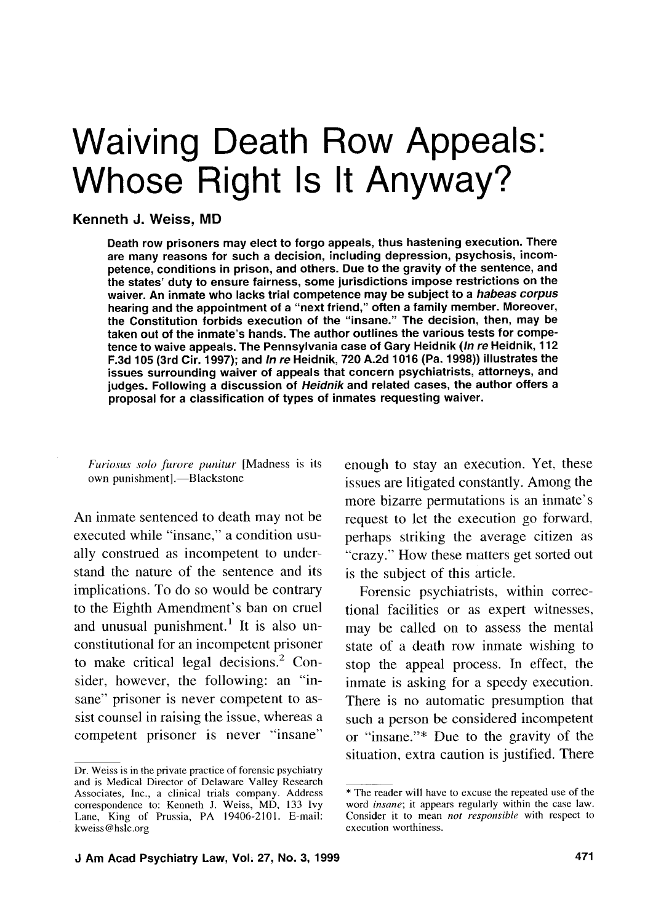# Waiving Death Row Appeals: Whose Right Is It Anyway?

## **Kenneth J. Weiss, MD**

Death row prisoners may elect to forgo appeals, thus hastening execution. There are many reasons for such a decision, including depression, psychosis, incompetence, conditions in prison, and others. Due to the gravity of the sentence, and the states' duty to ensure fairness, some jurisdictions impose restrictions on the waiver. An inmate who lacks trial competence may be subject to a **habeas corpus**  hearing and the appointment of a "next friend," often a family member. Moreover, the Constitution forbids execution of the "insane." The decision, then, may be taken out of the inmate's hands. The author outlines the various tests for competence to waive appeals. The Pennsylvania case of Gary Heidnik (In **re** Heidnik, 112 F.3d 105 (3rd Cir. 1997); and In **re** Heidnik, 720 A.2d 1016 (Pa. 1998)) illustrates the issues surrounding waiver of appeals that concern psychiatrists, attorneys, and judges. Following a discussion of **Heidnik** and related cases, the author offers a proposal for a classification of types of inmates requesting waiver.

*Furiosus solo furore punitur* [Madness is its own punishment].—Blackstone

An inmate sentenced to death may not be executed while "insane," a condition usually construed as incompetent to understand the nature of the sentence and its implications. To do so would be contrary to the Eighth Amendment's ban on cruel and unusual punishment.<sup>1</sup> It is also unconstitutional for an incompetent prisoner to make critical legal decisions. $<sup>2</sup>$  Con-</sup> sider. however, the following: an "insane" prisoner is never competent to assist counsel in raising the issue, whereas a competent prisoner is never "insane" enough to stay an execution. Yet, these issues are litigated constantly. Among the more bizarre permutations is an inmate's request to let the execution go forward. perhaps striking the average citizen as " crazy." How these matters get sorted out is the subject of this article.

Forensic psychiatrists, within correctional facilities or as expert witnesses, may be called on to assess the mental state of a death row inmate wishing to stop the appeal process. In effect, the inmate is asking for a speedy execution. There is no automatic presumption that such a person be considered incompetent or "insane."\* Due to the gravity of the situation, extra caution is justified. There

Dr. Weiss is in the private practice of forensic psychiatry and is Medical Director of Delaware Valley Research Associates, Inc., a clinical trials company. Address correspondence to: Kenneth J. Weiss, MD, 133 Ivy Lane, King of Prussia, PA 19406-2101. E-mail: kweiss@hslc.org

<sup>\*</sup> The reader will have to excuse the repeated use of the word *insane*; it appears regularly within the case law. Consider it to mean *not responsible* with respect to execution worthiness.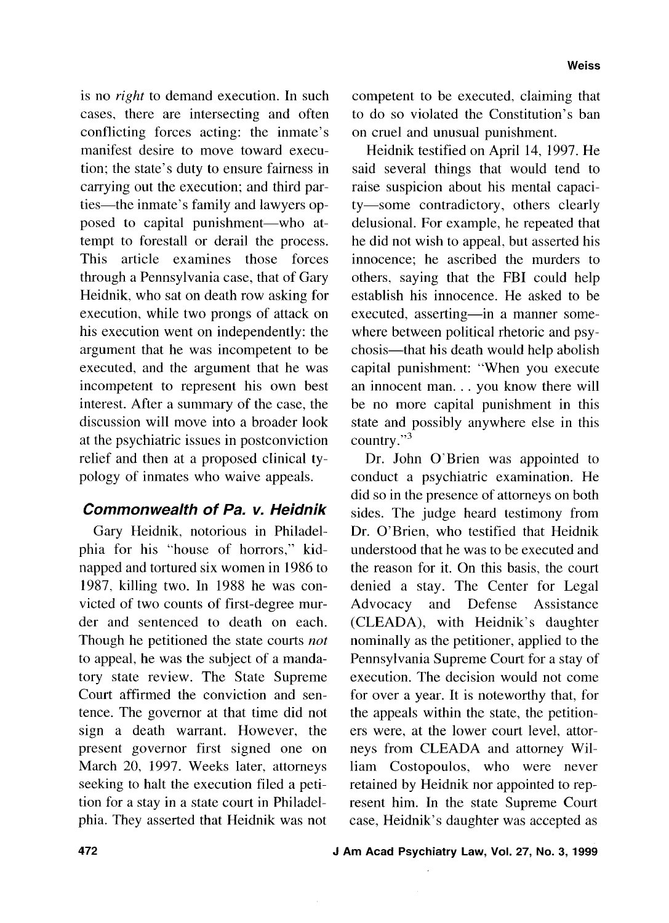is no right to demand execution. In such cases, there are intersecting and often conflicting forces acting: the inmate's manifest desire to move toward execution; the state's duty to ensure fairness in carrying out the execution; and third parties—the inmate's family and lawyers opposed to capital punishment-who attempt to forestall or derail the process. This article examines those forces through a Pennsylvania case, that of Gary Heidnik, who sat on death row asking for execution, while two prongs of attack on his execution went on independently: the argument that he was incompetent to be executed, and the argument that he was incompetent to represent his own best interest. After a summary of the case, the discussion will move into a broader look at the psychiatric issues in postconviction relief and then at a proposed clinical typology of inmates who waive appeals.

# **Commonwealth of Pa. v. Heidnik**

Gary Heidnik, notorious in Philadelphia for his "house of horrors," kidnapped and tortured six women in 1986 to 1987, killing two. In 1988 he was convicted of two counts of first-degree murder and sentenced to death on each. Though he petitioned the state courts *not*  to appeal, he was the subject of a mandatory state review. The State Supreme Court affirmed the conviction and sentence. The governor at that time did not sign a death warrant. However, the present governor first signed one on March 20, 1997. Weeks later, attorneys seeking to halt the execution filed a petition for a stay in a state court in Philadelphia. They asserted that Heidnik was not

competent to be executed, claiming that to do so violated the Constitution's ban on cruel and unusual punishment.

Heidnik testified on April 14, 1997. He said several things that would tend to raise suspicion about his mental capacity-some contradictory, others clearly delusional. For example, he repeated that he did not wish to appeal. but asserted his innocence; he ascribed the murders to others, saying that the FBI could help establish his innocence. He asked to be executed, asserting-in a manner somewhere between political rhetoric and psychosis-that his death would help abolish capital punishment: "When you execute an innocent man. . . you know there will be no more capital punishment in this state and possibly anywhere else in this country."<sup>3</sup>

Dr. John O'Brien was appointed to conduct a psychiatric examination. He did so in the presence of attorneys on both sides. The judge heard testimony from Dr. O'Brien, who testified that Heidnik understood that he was to be executed and the reason for it. On this basis, the court denied a stay. The Center for Legal Advocacy and Defense Assistance (CLEADA), with Heidnik's daughter nominally as the petitioner, applied to the Pennsylvania Supreme Court for a stay of execution. The decision would not come for over a year. It is noteworthy that, for the appeals within the state, the petitioners were, at the lower court level, attorneys from CLEADA and attorney William Costopoulos, who were never retained by Heidnik nor appointed to represent him. In the state Supreme Court case, Heidnik's daughter was accepted as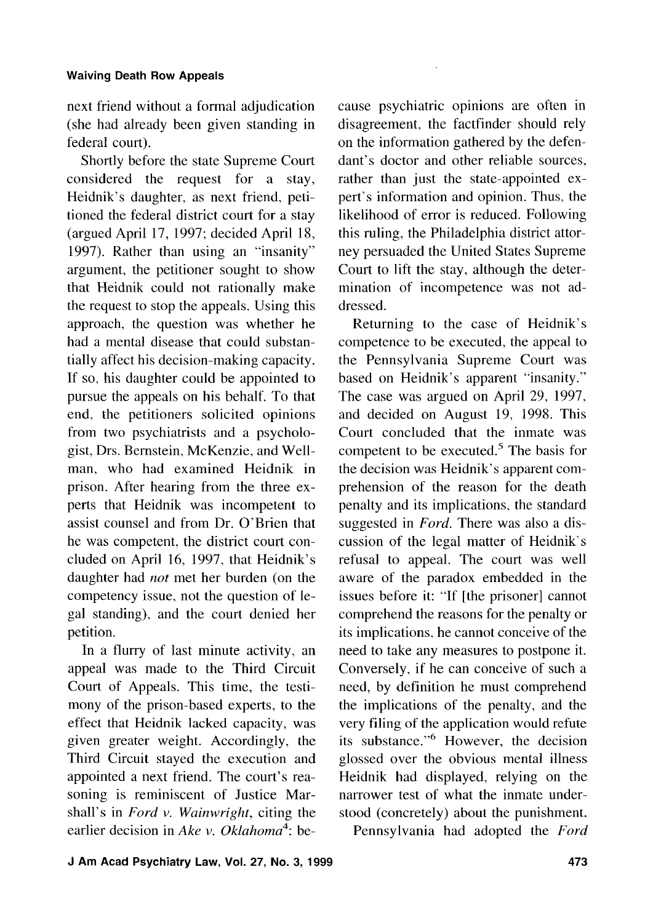next friend without a formal adjudication (she had already been given standing in federal court).

Shortly before the state Supreme Court considered the request for a stay, Heidnik's daughter, as next friend, petitioned the federal district court for a stay (argued April 17, 1997; decided April 18, 1997). Rather than using an "insanity" argument, the petitioner sought to show that Heidnik could not rationally make the request to stop the appeals. Using this approach, the question was whether he had a mental disease that could substantially affect his decision-making capacity. If so, his daughter could be appointed to pursue the appeals on his behalf. To that end, the petitioners solicited opinions from two psychiatrists and a psychologist, Drs. Bemstein, McKenzie, and Wellman, who had examined Heidnik in prison. After hearing from the three experts that Heidnik was incompetent to assist counsel and from Dr. O'Brien that he was competent, the district court concluded on April 16, 1997. that Heidnik's daughter had *not* met her burden (on the competency issue, not the question of legal standing). and the court denied her petition.

In a flurry of last minute activity, an appeal was made to the Third Circuit Court of Appeals. This time, the testimony of the prison-based experts, to the effect that Heidnik lacked capacity, was given greater weight. Accordingly, the Third Circuit stayed the execution and appointed a next friend. The court's reasoning is reminiscent of Justice Marshall's in *Ford* v. *Wainwright,* citing the earlier decision in *Ake* v. *0klahoma4:* be-

cause psychiatric opinions are often in disagreement, the factfinder should rely on the information gathered by the defendant's doctor and other reliable sources, rather than just the state-appointed expert's information and opinion. Thus, the likelihood of error is reduced. Following this ruling, the Philadelphia district attorney persuaded the United States Supreme Court to lift the stay, although the determination of incompetence was not addressed.

Returning to the case of Heidnik's competence to be executed, the appeal to the Pennsylvania Supreme Court was based on Heidnik's apparent "insanity." The case was argued on April 29, 1997. and decided on August 19, 1998. This Court concluded that the inmate was competent to be executed. $5$  The basis for the decision was Heidnik's apparent comprehension of the reason for the death penalty and its implications, the standard suggested in Ford. There was also a discussion of the legal matter of Heidnik's refusal to appeal. The court was well aware of the paradox embedded in the issues before it: "If [the prisoner] cannot comprehend the reasons for the penalty or its implications, he cannot conceive of the need to take any measures to postpone it. Conversely, if he can conceive of such a need, by definition he must comprehend the implications of the penalty, and the very filing of the application would refute its substance." $6$  However, the decision glossed over the obvious mental illness Heidnik had displayed, relying on the narrower test of what the inmate understood (concretely) about the punishment.

Pennsylvania had adopted the *Ford*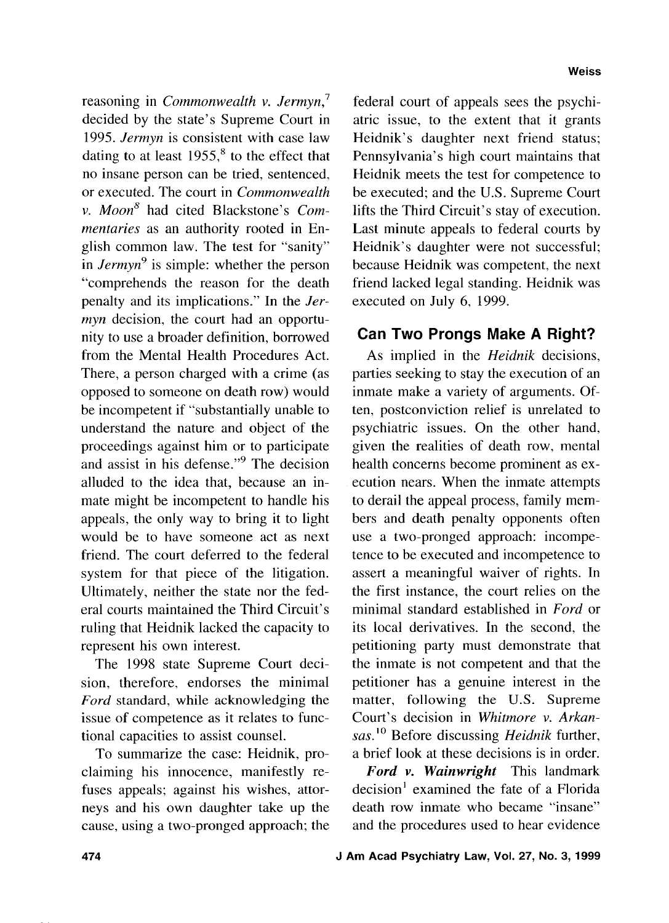reasoning in *Commonwealth v. Jermyn,'*  decided by the state's Supreme Court in 1995. *Jermyn* is consistent with case law dating to at least  $1955$ ,<sup>8</sup> to the effect that no insane person can be tried, sentenced, or executed. The court in *Commonwealth v. Moon8* had cited Blackstone's *Commentaries* as an authority rooted in English common law. The test for "sanity" in *Jermyn*<sup>9</sup> is simple: whether the person "comprehends the reason for the death penalty and its implications." In the *Jermyn* decision, the court had an opportunity to use a broader definition, borrowed from the Mental Health Procedures Act. There, a person charged with a crime (as opposed to someone on death row) would be incompetent if "substantially unable to understand the nature and object of the proceedings against him or to participate and assist in his defense."<sup>9</sup> The decision alluded to the idea that, because an inmate might be incompetent to handle his appeals, the only way to bring it to light would be to have someone act as next friend. The court deferred to the federal system for that piece of the litigation. Ultimately, neither the state nor the federal courts maintained the Third Circuit's ruling that Heidnik lacked the capacity to represent his own interest.

The 1998 state Supreme Court decision, therefore, endorses the minimal *Ford* standard, while acknowledging the issue of competence as it relates to functional capacities to assist counsel.

To summarize the case: Heidnik, proclaiming his innocence, manifestly refuses appeals; against his wishes, attorneys and his own daughter take up the cause, using a two-pronged approach; the

federal court of appeals sees the psychiatric issue, to the extent that it grants Heidnik's daughter next friend status; Pennsylvania's high court maintains that Heidnik meets the test for competence to be executed; and the U.S. Supreme Court lifts the Third Circuit's stay of execution. Last minute appeals to federal courts by Heidnik's daughter were not successful; because Heidnik was competent, the next friend lacked legal standing. Heidnik was executed on July 6, 1999.

# **Can Two Prongs Make A Right?**

As implied in the *Heidnik* decisions, parties seeking to stay the execution of an inmate make a variety of arguments. Often, postconviction relief is unrelated to psychiatric issues. On the other hand, given the realities of death row, mental health concerns become prominent as execution nears. When the inmate attempts to derail the appeal process, family members and death penalty opponents often use a two-pronged approach: incompetence to be executed and incompetence to assert a meaningful waiver of rights. In the first instance, the court relies on the minimal standard established in *Ford* or its local derivatives. In the second, the petitioning party must demonstrate that the inmate is not competent and that the petitioner has a genuine interest in the matter, following the U.S. Supreme Court's decision in *Whitmore v. Arkansas.''* Before discussing *Heidnik* further, a brief look at these decisions is in order.

*Ford* v. *Wainwright* This landmark decision' examined the fate of a Florida death row inmate who became "insane" and the procedures used to hear evidence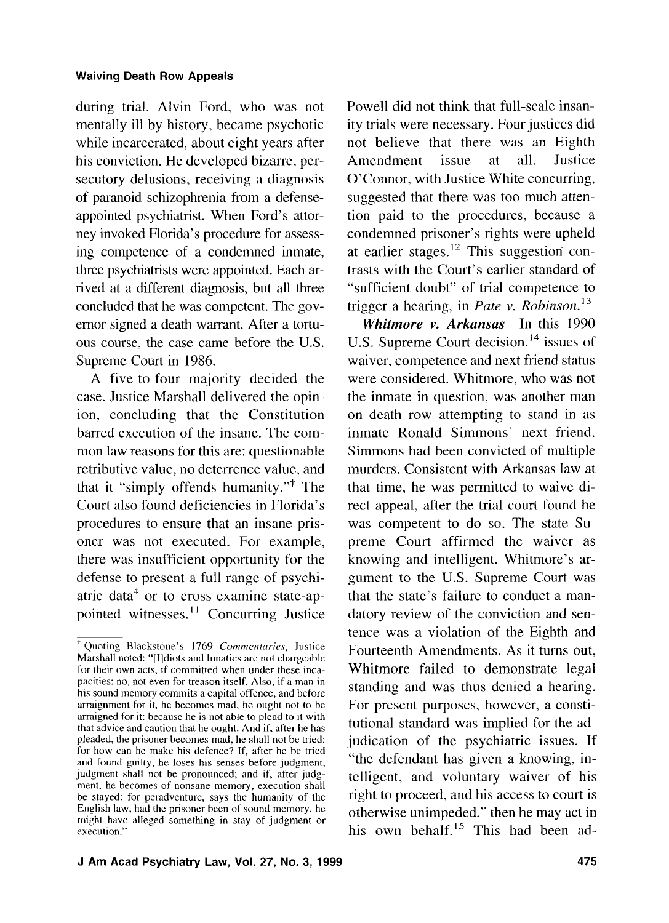during trial. Alvin Ford, who was not mentally ill by history, became psychotic while incarcerated, about eight years after his conviction. He developed bizarre, persecutory delusions, receiving a diagnosis of paranoid schizophrenia from a defenseappointed psychiatrist. When Ford's attorney invoked Florida's procedure for assessing competence of a condemned inmate, three psychiatrists were appointed. Each arrived at a different diagnosis, but all three concluded that he was competent. The governor signed a death warrant. After a tortuous course, the case came before the U.S. Supreme Court in 1986.

A five-to-four majority decided the case. Justice Marshall delivered the opinion, concluding that the Constitution barred execution of the insane. The common law reasons for this are: questionable retributive value, no deterrence value, and that it "simply offends humanity."+ The Court also found deficiencies in Florida's procedures to ensure that an insane prisoner was not executed. For example, there was insufficient opportunity for the defense to present a full range of psychiatric data<sup>4</sup> or to cross-examine state-appointed witnesses.<sup>11</sup> Concurring Justice

Powell did not think that full-scale insanity trials were necessary. Four justices did not believe that there was an Eighth Amendment issue at all. Justice O'Connor, with Justice White concurring, suggested that there was too much attention paid to the procedures. because a condemned prisoner's rights were upheld at earlier stages.<sup>12</sup> This suggestion contrasts with the Court's earlier standard of "sufficient doubt" of trial competence to trigger a hearing, in *Pate v. Robinson*.<sup>13</sup>

*Whitmore* v. *Arkansas* In this I990 U.S. Supreme Court decision,  $^{14}$  issues of waiver, competence and next friend status were considered. Whitmore, who was not the inmate in question, was another man on death row attempting to stand in as inmate Ronald Simmons' next friend. Simmons had been convicted of multiple murders. Consistent with Arkansas law at that time, he was permitted to waive direct appeal, after the trial court found he was competent to do so. The state Supreme Court affirmed the waiver as knowing and intelligent. Whitmore's argument to the U.S. Supreme Court was that the state's failure to conduct a mandatory review of the conviction and sentence was a violation of the Eighth and Fourteenth Amendments. As it turns out, Whitmore failed to demonstrate legal standing and was thus denied a hearing. For present purposes, however, a constitutional standard was implied for the adjudication of the psychiatric issues. If "the defendant has given a knowing, intelligent, and voluntary waiver of his right to proceed. and his access to court is otherwise unimpeded," then he may act in his own behalf.<sup>15</sup> This had been ad-

<sup>&</sup>lt;sup>†</sup> Quoting Blackstone's 1769 Commentaries, Justice Marshall noted: "[IJdiots and lunatics are not chargeable for their own acts, if committed when under these incapacities: no, not even for treason itself. Also, if a man in his sound memory commits a capital offence, and before arraignment for it, he becomes mad, he ought not to be arraigned for it: because he is not able to plead to it with that advice and caution that he ought. And if, after he has pleaded, the prisoner becomes mad, he shall not be tried: for how can he make his defence? If, after he be tried and found guilty, he loses his senses before judgment, judgment shall not be pronounced; and if, after judgment, he becomes of nonsane memory, execution shall be stayed: for peradventure, says the humanity of the English law, had the prisoner been of sound memory, he might have alleged something in stay of judgment or execution."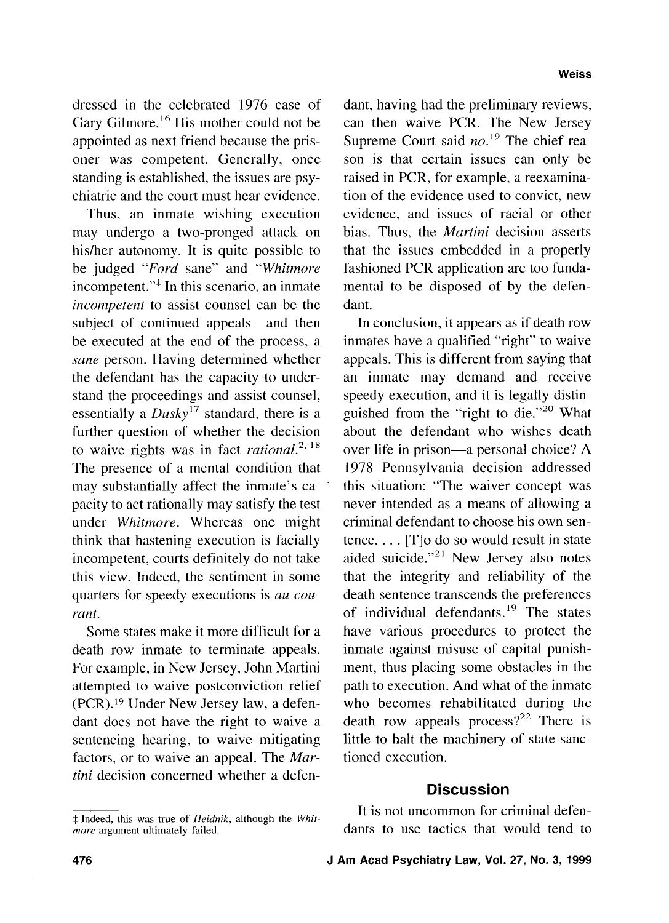dressed in the celebrated 1976 case of Gary Gilmore.<sup>16</sup> His mother could not be appointed as next friend because the prisoner was competent. Generally, once standing is established, the issues are psychiatric and the court must hear evidence.

Thus, an inmate wishing execution may undergo a two-pronged attack on his/her autonomy. It is quite possible to be judged *"Ford* sane" and *"Whitmore*  incompetent."\* In this scenario, an inmate *incompetent* to assist counsel can be the subject of continued appeals—and then be executed at the end of the process, a *sane* person. Having determined whether the defendant has the capacity to understand the proceedings and assist counsel, essentially a  $Dusky^{17}$  standard, there is a further question of whether the decision to waive rights was in fact *rational*.<sup>2, 18</sup> The presence of a mental condition that may substantially affect the inmate's capacity to act rationally may satisfy the test under *Whitmore.* Whereas one might think that hastening execution is facially incompetent, courts definitely do not take this view. Indeed. the sentiment in some quarters for speedy executions is *au courant.* 

Some states make it more difficult for a death row inmate to terminate appeals. For example, in New Jersey, John Martini attempted to waive postconviction relief (PCR).19 Under New Jersey law, a defendant does not have the right to waive a sentencing hearing, to waive mitigating factors, or to waive an appeal. The *Martini* decision concerned whether a defendant, having had the preliminary reviews, can then waive PCR. The New Jersey Supreme Court said *no*.<sup>19</sup> The chief reason is that certain issues can only be raised in PCR, for example, a reexamination of the evidence used to convict, new evidence, and issues of racial or other bias. Thus, the *Martini* decision asserts that the issues embedded in a properly fashioned PCR application are too fundamental to be disposed of by the defendant.

In conclusion, it appears as if death row inmates have a qualified "right" to waive appeals. This is different from saying that an inmate may demand and receive speedy execution, and it is legally distinguished from the "right to die."20 What about the defendant who wishes death over life in prison—a personal choice? A 1978 Pennsylvania decision addressed this situation: "The waiver concept was never intended as a means of allowing a criminal defendant to choose his own sentence. . . . [T]o do so would result in state aided suicide." $21$  New Jersey also notes that the integrity and reliability of the death sentence transcends the preferences of individual defendants.<sup>19</sup> The states have various procedures to protect the inmate against misuse of capital punishment, thus placing some obstacles in the path to execution. And what of the inmate who becomes rehabilitated during the death row appeals process?<sup>22</sup> There is little to halt the machinery of state-sanctioned execution.

## **Discussion**

It is not uncommon for criminal defendants to use tactics that would tend to

<sup>\$</sup> Indeed, this was true of **Heidnik,** although the *Whitmore* argument ultimately failed.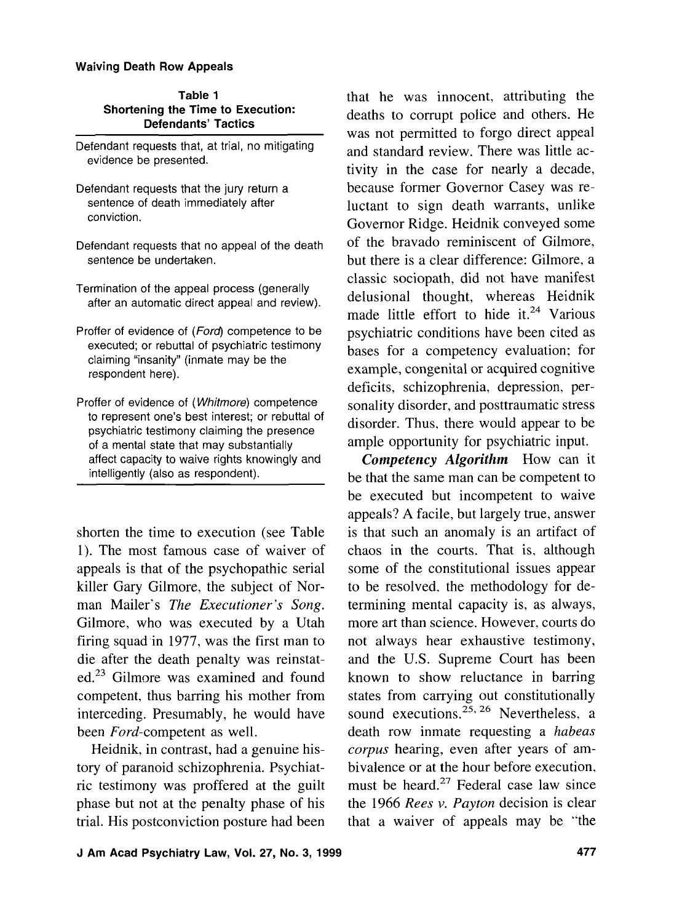| Table 1                           |
|-----------------------------------|
| Shortening the Time to Execution: |
| <b>Defendants' Tactics</b>        |

| Defendant requests that, at trial, no mitigating |  |  |
|--------------------------------------------------|--|--|
| evidence be presented.                           |  |  |

- Defendant requests that the jury return a sentence of death immediately after conviction.
- Defendant requests that no appeal of the death sentence be undertaken.
- Termination of the appeal process (generally after an automatic direct appeal and review).
- Proffer of evidence of (Ford) competence to be executed; or rebuttal of psychiatric testimony claiming "insanity" (inmate may be the respondent here).
- Proffer of evidence of (Whitmore) competence to represent one's best interest; or rebuttal of psychiatric testimony claiming the presence of a mental state that may substantially affect capacity to waive rights knowingly and intelligently (also as respondent).

shorten the time to execution (see Table 1). The most famous case of waiver of appeals is that of the psychopathic serial killer Gary Gilmore, the subject of Norman Mailer's The Executioner's Song. Gilmore, who was executed by a Utah firing squad in 1977, was the first man to die after the death penalty was reinstated.<sup>23</sup> Gilmore was examined and found competent, thus barring his mother from interceding. Presumably, he would have been Ford-competent as well.

Heidnik, in contrast, had a genuine history of paranoid schizophrenia. Psychiatric testimony was proffered at the guilt phase but not at the penalty phase of his trial. His postconviction posture had been that he was innocent, attributing the deaths to corrupt police and others. He was not permitted to forgo direct appeal and standard review. There was little activity in the case for nearly a decade, because former Governor Casey was reluctant to sign death warrants, unlike Governor Ridge. Heidnik conveyed some of the bravado reminiscent of Gilmore, but there is a clear difference: Gilmore, a classic sociopath, did not have manifest delusional thought, whereas Heidnik made little effort to hide it.<sup>24</sup> Various psychiatric conditions have been cited as bases for a competency evaluation; for example, congenital or acquired cognitive deficits, schizophrenia, depression, personality disorder, and posttraumatic stress disorder. Thus, there would appear to be ample opportunity for psychiatric input.

*Competency Algorithm* How can it be that the same man can be competent to be executed but incompetent to waive appeals? A facile, but largely true, answer is that such an anomaly is an artifact of chaos in the courts. That is, although some of the constitutional issues appear to be resolved, the methodology for determining mental capacity is, as always, more art than science. However. courts do not always hear exhaustive testimony, and the U.S. Supreme Court has been known to show reluctance in barring states from carrying out constitutionally sound executions.<sup>25, 26</sup> Nevertheless, a death row inmate requesting a habeas corpus hearing, even after years of ambivalence or at the hour before execution, must be heard.27 Federal case law since the 1966 Rees v. Payton decision is clear that a waiver of appeals may be "the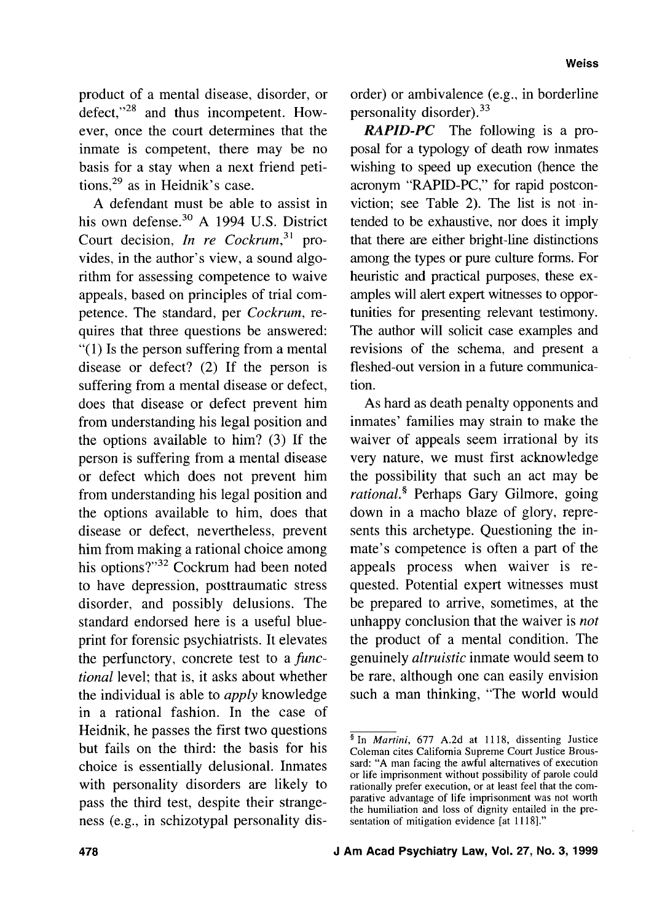product of a mental disease, disorder, or defect,"28 and thus incompetent. However, once the court determines that the inmate is competent, there may be no basis for a stay when a next friend petitions, $29$  as in Heidnik's case.

A defendant must be able to assist in his own defense.<sup>30</sup> A 1994 U.S. District Court decision, In re Cockrum,  $31$  provides, in the author's view, a sound algorithm for assessing competence to waive appeals, based on principles of trial competence. The standard, per Cockrum, requires that three questions be answered: "(1) Is the person suffering from a mental disease or defect? (2) If the person is suffering from a mental disease or defect, does that disease or defect prevent him from understanding his legal position and the options available to him? (3) If the person is suffering from a mental disease or defect which does not prevent him from understanding his legal position and the options available to him, does that disease or defect, nevertheless, prevent him from making a rational choice among his options?"<sup>32</sup> Cockrum had been noted to have depression, posttraumatic stress disorder, and possibly delusions. The standard endorsed here is a useful blueprint for forensic psychiatrists. It elevates the perfunctory, concrete test to a functional level; that is, it asks about whether the individual is able to apply knowledge in a rational fashion. In the case of disorder, and possibly delusions. The the prepared to a<br>standard endorsed here is a useful blue-<br>print for forensic psychiatrists. It elevates the product of a<br>the perfunctory, concrete test to a *func*-<br>genuinely altruis Heidnik, he passes the first two questions<br>but fails on the third: the basis for his Coleman cites California Supreme Court Justice Brous-<br>choice is essentially delusional Inmates and: "A man facing the awful alternatives choice is essentially delusional. Inmates with personality disorders are likely to<br>neglectric execution, or at least feel that the com-<br>parative advantage of life imprisonment was not worth pass the third test, despite their strangeness (e.g., in schizotypal personality dis-

order) or ambivalence (e.g., in borderline personality disorder).<sup>33</sup>

**RAPID-PC** The following is a proposal for a typology of death row inmates wishing to speed up execution (hence the acronym "RAPID-PC," for rapid postconviction; see Table 2). The list is not intended to be exhaustive, nor does it imply that there are either bright-line distinctions among the types or pure culture forms. For heuristic and practical purposes, these examples will alert expert witnesses to opportunities for presenting relevant testimony. The author will solicit case examples and revisions of the schema, and present a fleshed-out version in a future communication.

As hard as death penalty opponents and inmates' families may strain to make the waiver of appeals seem irrational by its very nature, we must first acknowledge the possibility that such an act may be rational.\$ Perhaps Gary Gilmore, going down in a macho blaze of glory, represents this archetype. Questioning the inmate's competence is often a part of the appeals process when waiver is requested. Potential expert witnesses must be prepared to arrive, sometimes, at the unhappy conclusion that the waiver is *not* the product of a mental condition. The genuinely altruistic inmate would seem to be rare, although one can easily envision such a man thinking, "The world would

or life imprisonment without possibility of parole could the humiliation and loss of dignity entailed in the pre-<br>sentation of mitigation evidence [at 1118]."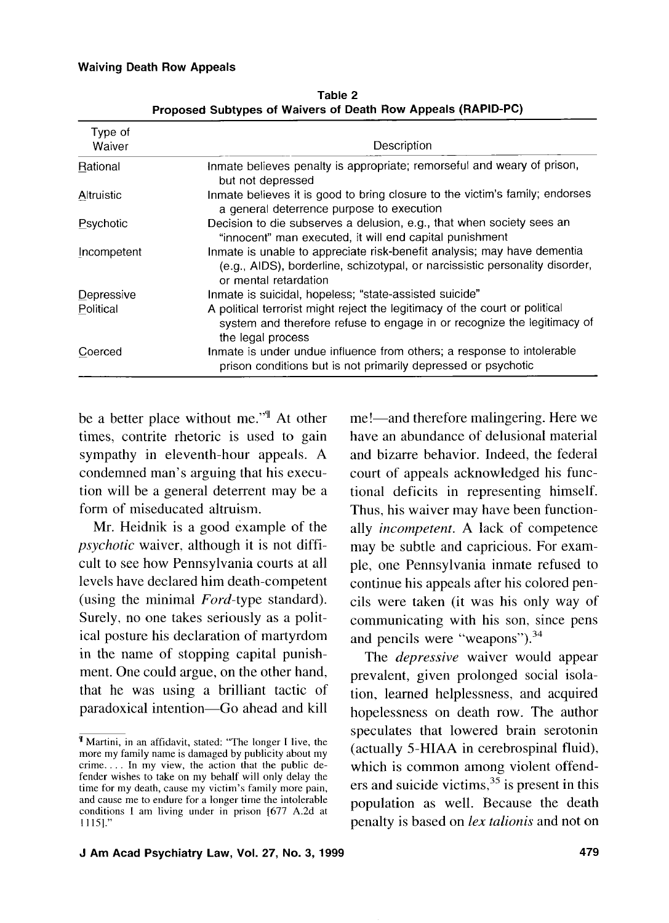| Type of<br>Waiver | Description                                                                                                                                                                      |
|-------------------|----------------------------------------------------------------------------------------------------------------------------------------------------------------------------------|
| Rational          | Inmate believes penalty is appropriate; remorseful and weary of prison,<br>but not depressed                                                                                     |
| Altruistic        | Inmate believes it is good to bring closure to the victim's family; endorses<br>a general deterrence purpose to execution                                                        |
| Psychotic         | Decision to die subserves a delusion, e.g., that when society sees an<br>"innocent" man executed, it will end capital punishment                                                 |
| Incompetent       | Inmate is unable to appreciate risk-benefit analysis; may have dementia<br>(e.g., AIDS), borderline, schizotypal, or narcissistic personality disorder,<br>or mental retardation |
| Depressive        | Inmate is suicidal, hopeless; "state-assisted suicide"                                                                                                                           |
| Political         | A political terrorist might reject the legitimacy of the court or political<br>system and therefore refuse to engage in or recognize the legitimacy of<br>the legal process      |
| Coerced           | Inmate is under undue influence from others; a response to intolerable<br>prison conditions but is not primarily depressed or psychotic                                          |

Table 2 Proposed Subtypes of Waivers of Death Row Appeals (RAPID-PC)

be a better place without me."" At other times, contrite rhetoric is used to gain sympathy in eleventh-hour appeals. A condemned man's arguing that his execution will be a general deterrent may be a form of miseducated altruism.

Mr. Heidnik is a good example of the psychotic waiver. although it is not difficult to see how Pennsylvania courts at all levels have declared him death-competent (using the minimal Ford-type standard). Surely, no one takes seriously as a political posture his declaration of martyrdom in the name of stopping capital punishment. One could argue, on the other hand, that he was using a brilliant tactic of paradoxical intention-Go ahead and kill me!—and therefore malingering. Here we have an abundance of delusional material and bizarre behavior. Indeed, the federal court of appeals acknowledged his functional deficits in representing himself. Thus, his waiver may have been functionally *incompetent*. A lack of competence may be subtle and capricious. For example, one Pennsylvania inmate refused to continue his appeals after his colored pencils were taken (it was his only way of communicating with his son, since pens and pencils were "weapons").<sup>34</sup>

The *depressive* waiver would appear prevalent, given prolonged social isolation, learned helplessness. and acquired hopelessness on death row. The author speculates that lowered brain serotonin (actually 5-HIAA in cerebrospinal fluid), which is common among violent offenders and suicide victims,  $35$  is present in this population as well. Because the death penalty is based on lex talionis and not on

Martini, in an affidavit, stated: "The longer I live, the more my family name is damaged by publicity about my crime. . . . In my view, the action that the public defender wishes to take on my behalf will only delay the time for my death, cause my victim's family more pain, and cause me to endure for a longer time the intolerable conditions I am living under in prison [677 A.2d at 1 1151."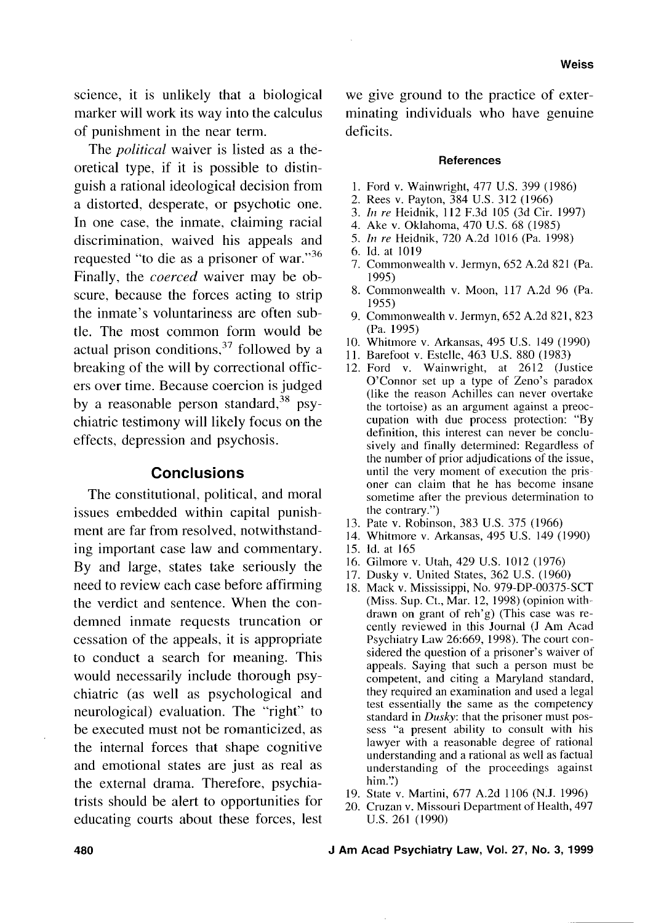science, it is unlikely that a biological marker will work its way into the calculus of punishment in the near term.

The *political* waiver is listed as a theoretical type, if it is possible to distinguish a rational ideological decision from a distorted, desperate, or psychotic one. In one case, the inmate, claiming racial discrimination, waived his appeals and requested "to die as a prisoner of war."36 Finally, the *coerced* waiver may be obscure, because the forces acting to strip the inmate's voluntariness are often subtle. The most common form would be actual prison conditions, $37$  followed by a breaking of the will by correctional officers over time. Because coercion is judged by a reasonable person standard,  $38$  psychiatric testimony will likely focus on the effects, depression and psychosis.

## **Conclusions**

The constitutional, political, and moral issues embedded within capital punishment are far from resolved, notwithstanding important case law and commentary. By and large, states take seriously the need to review each case before affirming the verdict and sentence. When the condemned inmate requests truncation or cessation of the appeals, it is appropriate to conduct a search for meaning. This would necessarily include thorough psychiatric (as well as psychological and neurological) evaluation. The "right" to be executed must not be romanticized, as the internal forces that shape cognitive and emotional states are just as real as the external drama. Therefore, psychiatrists should be alert to opportunities for educating courts about these forces, lest we give ground to the practice of exterminating individuals who have genuine deficits.

#### **References**

- Ford v. Wainwright, 477 U.S. 399 (1986)
- 2. Rees v. Payton, 384 U.S. 312 (1966)
- *In re* Heidnik, 1 12 F.3d 105 (3d Cir. 1997)
- Ake v. Oklahoma, 470 U.S. 68 (1985)
- 5. *In re* Heidnik, 720 A.2d 1016 (Pa. 1998)
- Id. at 1019
- 7. Commonwealth v. Jermyn, 652 A.2d 821 (Pa. 1995)
- 8. Commonwealth v. Moon, 117 A.2d 96 (Pa. 1955)
- Commonwealth v. Jermyn, 652 A.2d 821, 823 (Pa. 1995)
- Whitmore v. Arkansas, 495 U.S. 149 (1990)
- Barefoot v. Estelle, 463 U.S. 880 (1983)
- 12. Ford v. Wainwright, at 2612 (Justice O'Connor set up a type of Zeno's paradox (like the reason Achilles can never overtake the tortoise) as an argument against a preoccupation with due process protection: "By definition, this interest can never be conclusively and finally determined: Regardless of the number of prior adjudications of the issue, until the very moment of execution the prisoner can claim that he has become insane sometime after the previous determination to the contrary.")
- 13. Pate v. Robinson, 383 U.S. 375 (1966)
- Whitmore v. Arkansas, 495 U.S. 149 (1990)
- 15. Id. at 165
- Gilmore v. Utah, 429 U.S. 1012 (1976)
- 17. Dusky v. United States, 362 U.S. (1960)
- 18. Mack v. Mississippi, No. 979-DP-00375-SCT (Miss. Sup. Ct., Mar. 12, 1998) (opinion withdrawn on grant of reh'g) (This case was recently reviewed in this Journal (J Am Acad Psychiatry Law 26:669, 1998). The court considered the question of a prisoner's waiver of appeals. Saying that such a person must be competent, and citing a Maryland standard, they required an examination and used a legal test essentially the same as the competency standard in *Dusky*: that the prisoner must possess "a present ability to consult with his lawyer with a reasonable degree of rational understanding and a rational as well as factual understanding of the proceedings against him. $\dddot{ }$ )
- 19. State v. Martini, 677 A.2d 1106 (N.J. 1996)
- 20. Cruzan v. Missouri Department of Health, 497 U.S. 261 (1990)

**480 J Am Acad Psychiatry Law,** Vol. **27,** No. 3, 1999